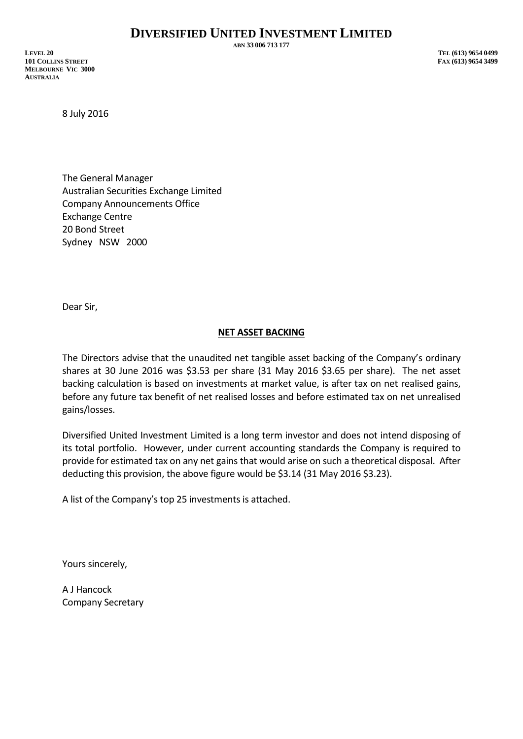**ABN 33 006 713 177**

**LEVEL 20 TEL (613) 9654 0499 101 COLLINS STREET FAX (613) 9654 3499 MELBOURNE VIC 3000 AUSTRALIA**

8 July 2016

The General Manager Australian Securities Exchange Limited Company Announcements Office Exchange Centre 20 Bond Street Sydney NSW 2000

Dear Sir,

## **NET ASSET BACKING**

The Directors advise that the unaudited net tangible asset backing of the Company's ordinary shares at 30 June 2016 was \$3.53 per share (31 May 2016 \$3.65 per share). The net asset backing calculation is based on investments at market value, is after tax on net realised gains, before any future tax benefit of net realised losses and before estimated tax on net unrealised gains/losses.

Diversified United Investment Limited is a long term investor and does not intend disposing of its total portfolio. However, under current accounting standards the Company is required to provide for estimated tax on any net gains that would arise on such a theoretical disposal. After deducting this provision, the above figure would be \$3.14 (31 May 2016 \$3.23).

A list of the Company's top 25 investments is attached.

Yours sincerely,

A J Hancock Company Secretary